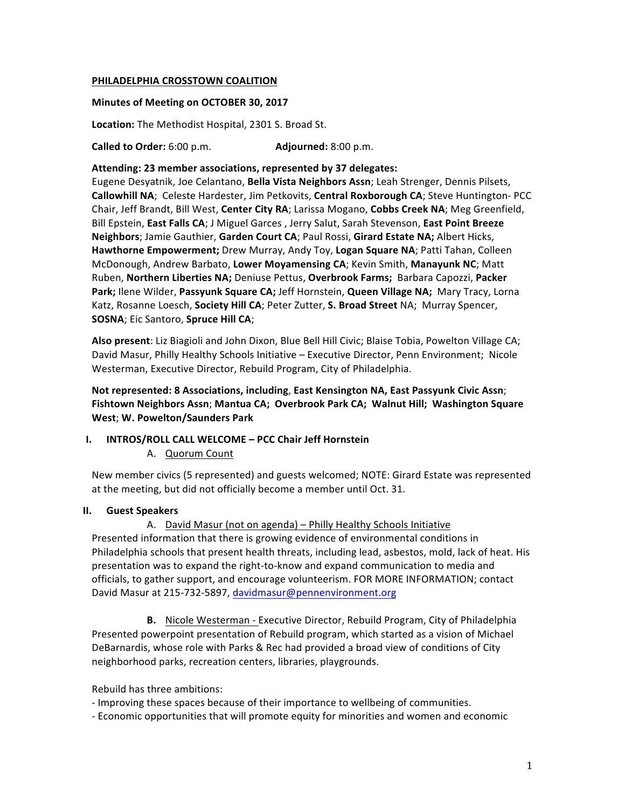# **PHILADELPHIA CROSSTOWN COALITION**

## **Minutes of Meeting on OCTOBER 30, 2017**

Location: The Methodist Hospital, 2301 S. Broad St.

**Called to Order:** 6:00 p.m. **Adjourned:** 8:00 p.m.

Attending: 23 member associations, represented by 37 delegates:

Eugene Desyatnik, Joe Celantano, Bella Vista Neighbors Assn; Leah Strenger, Dennis Pilsets, Callowhill NA; Celeste Hardester, Jim Petkovits, Central Roxborough CA; Steve Huntington- PCC Chair, Jeff Brandt, Bill West, Center City RA; Larissa Mogano, Cobbs Creek NA; Meg Greenfield, Bill Epstein, **East Falls CA**; J Miguel Garces, Jerry Salut, Sarah Stevenson, **East Point Breeze Neighbors**; Jamie Gauthier, Garden Court CA; Paul Rossi, Girard Estate NA; Albert Hicks, **Hawthorne Empowerment;** Drew Murray, Andy Toy, Logan Square NA; Patti Tahan, Colleen McDonough, Andrew Barbato, Lower Moyamensing CA; Kevin Smith, Manayunk NC; Matt Ruben, Northern Liberties NA; Deniuse Pettus, Overbrook Farms; Barbara Capozzi, Packer Park; Ilene Wilder, Passyunk Square CA; Jeff Hornstein, Queen Village NA; Mary Tracy, Lorna Katz, Rosanne Loesch, Society Hill CA; Peter Zutter, S. Broad Street NA; Murray Spencer, **SOSNA**; Eic Santoro, **Spruce Hill CA**;

Also present: Liz Biagioli and John Dixon, Blue Bell Hill Civic; Blaise Tobia, Powelton Village CA; David Masur, Philly Healthy Schools Initiative – Executive Director, Penn Environment; Nicole Westerman, Executive Director, Rebuild Program, City of Philadelphia.

**Not represented: 8 Associations, including, East Kensington NA, East Passyunk Civic Assn; Fishtown Neighbors Assn**; **Mantua CA; Overbrook Park CA; Walnut Hill; Washington Square West**; **W. Powelton/Saunders Park**

## **I. INTROS/ROLL CALL WELCOME** - PCC Chair Jeff Hornstein

A. Quorum Count

New member civics (5 represented) and guests welcomed; NOTE: Girard Estate was represented at the meeting, but did not officially become a member until Oct. 31.

### **II. Guest Speakers**

A. David Masur (not on agenda) – Philly Healthy Schools Initiative Presented information that there is growing evidence of environmental conditions in Philadelphia schools that present health threats, including lead, asbestos, mold, lack of heat. His presentation was to expand the right-to-know and expand communication to media and officials, to gather support, and encourage volunteerism. FOR MORE INFORMATION; contact David Masur at 215-732-5897, davidmasur@pennenvironment.org

**B.** Nicole Westerman - Executive Director, Rebuild Program, City of Philadelphia Presented powerpoint presentation of Rebuild program, which started as a vision of Michael DeBarnardis, whose role with Parks & Rec had provided a broad view of conditions of City neighborhood parks, recreation centers, libraries, playgrounds.

Rebuild has three ambitions:

- Improving these spaces because of their importance to wellbeing of communities.

- Economic opportunities that will promote equity for minorities and women and economic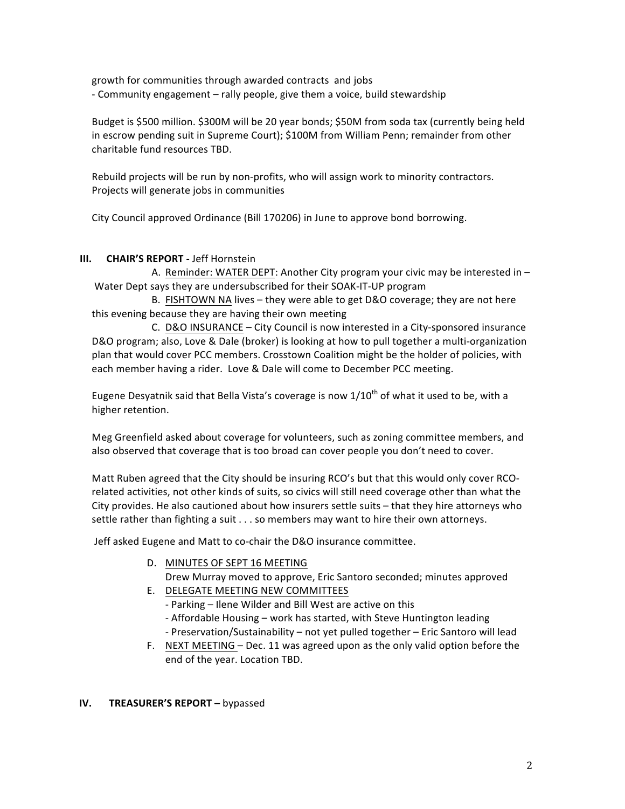growth for communities through awarded contracts and jobs - Community engagement - rally people, give them a voice, build stewardship

Budget is \$500 million. \$300M will be 20 year bonds; \$50M from soda tax (currently being held in escrow pending suit in Supreme Court); \$100M from William Penn; remainder from other charitable fund resources TBD.

Rebuild projects will be run by non-profits, who will assign work to minority contractors. Projects will generate jobs in communities

City Council approved Ordinance (Bill 170206) in June to approve bond borrowing.

# **III. CHAIR'S REPORT** - Jeff Hornstein

A. Reminder: WATER DEPT: Another City program your civic may be interested in  $-$ Water Dept says they are undersubscribed for their SOAK-IT-UP program

B. FISHTOWN NA lives - they were able to get D&O coverage; they are not here this evening because they are having their own meeting

C. D&O INSURANCE – City Council is now interested in a City-sponsored insurance D&O program; also, Love & Dale (broker) is looking at how to pull together a multi-organization plan that would cover PCC members. Crosstown Coalition might be the holder of policies, with each member having a rider. Love & Dale will come to December PCC meeting.

Eugene Desyatnik said that Bella Vista's coverage is now  $1/10^{th}$  of what it used to be, with a higher retention.

Meg Greenfield asked about coverage for volunteers, such as zoning committee members, and also observed that coverage that is too broad can cover people you don't need to cover.

Matt Ruben agreed that the City should be insuring RCO's but that this would only cover RCOrelated activities, not other kinds of suits, so civics will still need coverage other than what the City provides. He also cautioned about how insurers settle suits - that they hire attorneys who settle rather than fighting a suit  $\dots$  so members may want to hire their own attorneys.

Jeff asked Eugene and Matt to co-chair the D&O insurance committee.

- D. MINUTES OF SEPT 16 MEETING
	- Drew Murray moved to approve, Eric Santoro seconded; minutes approved
- E. DELEGATE MEETING NEW COMMITTEES

- Parking - Ilene Wilder and Bill West are active on this

- Affordable Housing work has started, with Steve Huntington leading
- Preservation/Sustainability not yet pulled together Eric Santoro will lead
- F. NEXT MEETING Dec. 11 was agreed upon as the only valid option before the end of the year. Location TBD.

# **IV. TREASURER'S REPORT** – bypassed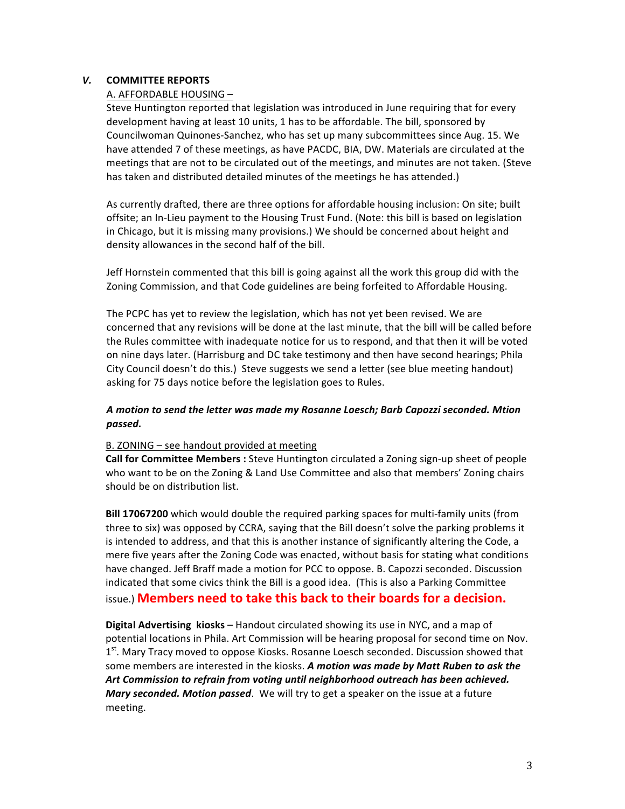# *V.* **COMMITTEE REPORTS**

## A. AFFORDABLE HOUSING -

Steve Huntington reported that legislation was introduced in June requiring that for every development having at least 10 units, 1 has to be affordable. The bill, sponsored by Councilwoman Quinones-Sanchez, who has set up many subcommittees since Aug. 15. We have attended 7 of these meetings, as have PACDC, BIA, DW. Materials are circulated at the meetings that are not to be circulated out of the meetings, and minutes are not taken. (Steve has taken and distributed detailed minutes of the meetings he has attended.)

As currently drafted, there are three options for affordable housing inclusion: On site; built offsite; an In-Lieu payment to the Housing Trust Fund. (Note: this bill is based on legislation in Chicago, but it is missing many provisions.) We should be concerned about height and density allowances in the second half of the bill.

Jeff Hornstein commented that this bill is going against all the work this group did with the Zoning Commission, and that Code guidelines are being forfeited to Affordable Housing.

The PCPC has yet to review the legislation, which has not yet been revised. We are concerned that any revisions will be done at the last minute, that the bill will be called before the Rules committee with inadequate notice for us to respond, and that then it will be voted on nine days later. (Harrisburg and DC take testimony and then have second hearings; Phila City Council doesn't do this.) Steve suggests we send a letter (see blue meeting handout) asking for 75 days notice before the legislation goes to Rules.

# A motion to send the letter was made my Rosanne Loesch; Barb Capozzi seconded. Mtion *passed.*

## B. ZONING - see handout provided at meeting

**Call for Committee Members** : Steve Huntington circulated a Zoning sign-up sheet of people who want to be on the Zoning & Land Use Committee and also that members' Zoning chairs should be on distribution list.

**Bill 17067200** which would double the required parking spaces for multi-family units (from three to six) was opposed by CCRA, saying that the Bill doesn't solve the parking problems it is intended to address, and that this is another instance of significantly altering the Code, a mere five years after the Zoning Code was enacted, without basis for stating what conditions have changed. Jeff Braff made a motion for PCC to oppose. B. Capozzi seconded. Discussion indicated that some civics think the Bill is a good idea. (This is also a Parking Committee issue.) **Members need to take this back to their boards for a decision.** 

**Digital Advertising kiosks** – Handout circulated showing its use in NYC, and a map of potential locations in Phila. Art Commission will be hearing proposal for second time on Nov. 1<sup>st</sup>. Mary Tracy moved to oppose Kiosks. Rosanne Loesch seconded. Discussion showed that some members are interested in the kiosks. A motion was made by Matt Ruben to ask the Art Commission to refrain from voting until neighborhood outreach has been achieved. *Mary seconded. Motion passed.* We will try to get a speaker on the issue at a future meeting.